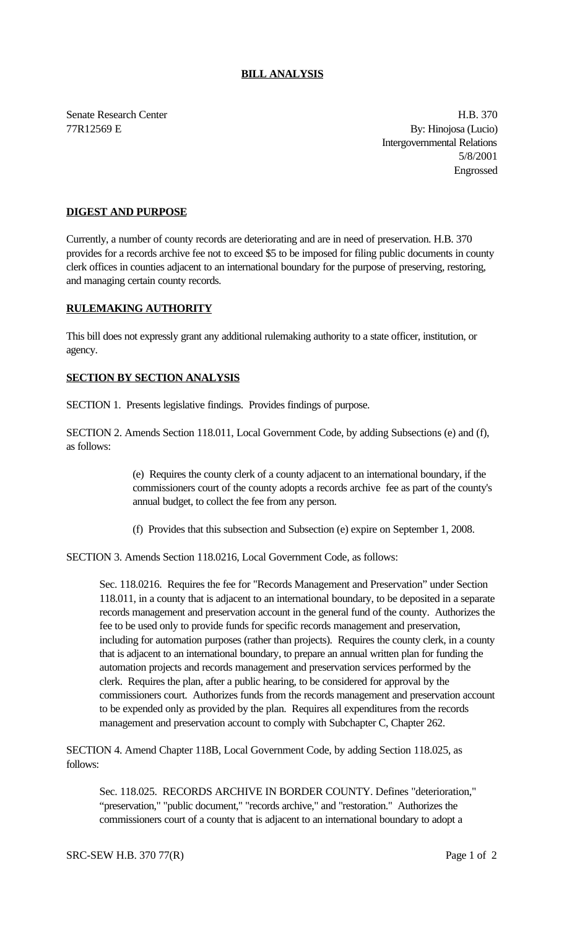## **BILL ANALYSIS**

Senate Research Center **H.B.** 370 77R12569 E By: Hinojosa (Lucio) Intergovernmental Relations 5/8/2001 Engrossed

## **DIGEST AND PURPOSE**

Currently, a number of county records are deteriorating and are in need of preservation. H.B. 370 provides for a records archive fee not to exceed \$5 to be imposed for filing public documents in county clerk offices in counties adjacent to an international boundary for the purpose of preserving, restoring, and managing certain county records.

## **RULEMAKING AUTHORITY**

This bill does not expressly grant any additional rulemaking authority to a state officer, institution, or agency.

## **SECTION BY SECTION ANALYSIS**

SECTION 1. Presents legislative findings. Provides findings of purpose.

SECTION 2. Amends Section 118.011, Local Government Code, by adding Subsections (e) and (f), as follows:

> (e) Requires the county clerk of a county adjacent to an international boundary, if the commissioners court of the county adopts a records archive fee as part of the county's annual budget, to collect the fee from any person.

(f) Provides that this subsection and Subsection (e) expire on September 1, 2008.

SECTION 3. Amends Section 118.0216, Local Government Code, as follows:

Sec. 118.0216. Requires the fee for "Records Management and Preservation" under Section 118.011, in a county that is adjacent to an international boundary, to be deposited in a separate records management and preservation account in the general fund of the county. Authorizes the fee to be used only to provide funds for specific records management and preservation, including for automation purposes (rather than projects). Requires the county clerk, in a county that is adjacent to an international boundary, to prepare an annual written plan for funding the automation projects and records management and preservation services performed by the clerk. Requires the plan, after a public hearing, to be considered for approval by the commissioners court. Authorizes funds from the records management and preservation account to be expended only as provided by the plan. Requires all expenditures from the records management and preservation account to comply with Subchapter C, Chapter 262.

SECTION 4. Amend Chapter 118B, Local Government Code, by adding Section 118.025, as follows:

Sec. 118.025. RECORDS ARCHIVE IN BORDER COUNTY. Defines "deterioration," "preservation," "public document," "records archive," and "restoration." Authorizes the commissioners court of a county that is adjacent to an international boundary to adopt a